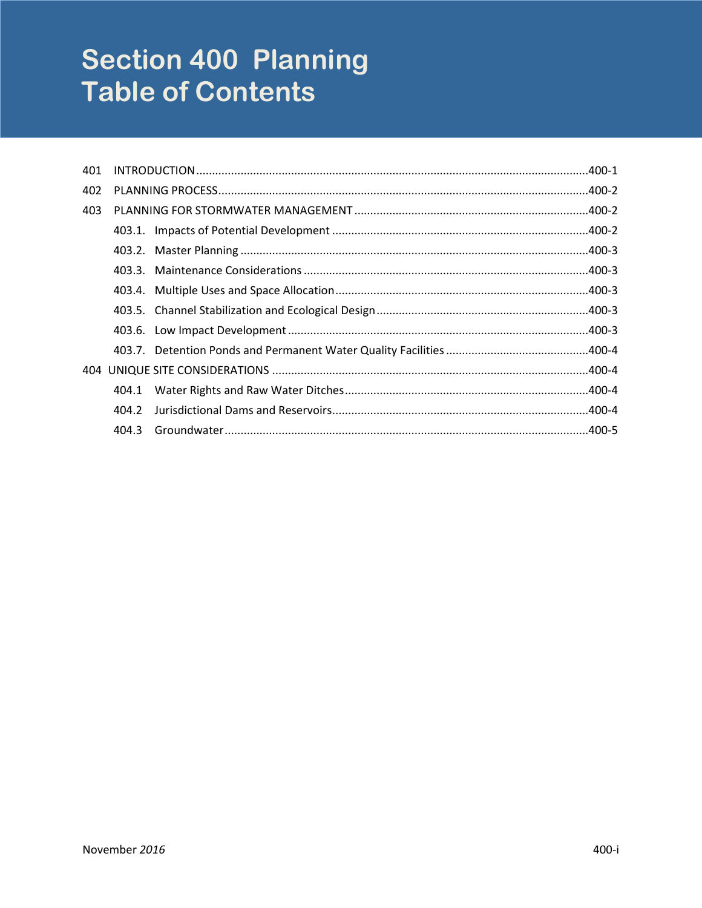# **Section 400 Planning Table of Contents**

| 401 |       |  |  |
|-----|-------|--|--|
| 402 |       |  |  |
| 403 |       |  |  |
|     |       |  |  |
|     |       |  |  |
|     |       |  |  |
|     |       |  |  |
|     |       |  |  |
|     |       |  |  |
|     |       |  |  |
| 404 |       |  |  |
|     | 404.1 |  |  |
|     | 404.2 |  |  |
|     | 404.3 |  |  |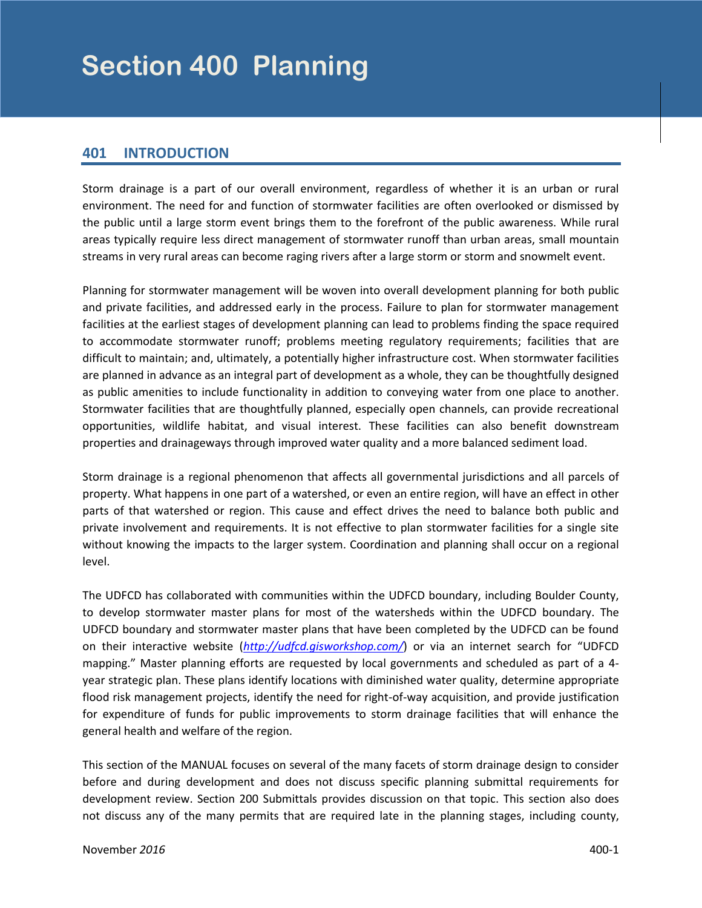# <span id="page-2-0"></span>**401 INTRODUCTION**

Storm drainage is a part of our overall environment, regardless of whether it is an urban or rural environment. The need for and function of stormwater facilities are often overlooked or dismissed by the public until a large storm event brings them to the forefront of the public awareness. While rural areas typically require less direct management of stormwater runoff than urban areas, small mountain streams in very rural areas can become raging rivers after a large storm or storm and snowmelt event.

Planning for stormwater management will be woven into overall development planning for both public and private facilities, and addressed early in the process. Failure to plan for stormwater management facilities at the earliest stages of development planning can lead to problems finding the space required to accommodate stormwater runoff; problems meeting regulatory requirements; facilities that are difficult to maintain; and, ultimately, a potentially higher infrastructure cost. When stormwater facilities are planned in advance as an integral part of development as a whole, they can be thoughtfully designed as public amenities to include functionality in addition to conveying water from one place to another. Stormwater facilities that are thoughtfully planned, especially open channels, can provide recreational opportunities, wildlife habitat, and visual interest. These facilities can also benefit downstream properties and drainageways through improved water quality and a more balanced sediment load.

Storm drainage is a regional phenomenon that affects all governmental jurisdictions and all parcels of property. What happens in one part of a watershed, or even an entire region, will have an effect in other parts of that watershed or region. This cause and effect drives the need to balance both public and private involvement and requirements. It is not effective to plan stormwater facilities for a single site without knowing the impacts to the larger system. Coordination and planning shall occur on a regional level.

The UDFCD has collaborated with communities within the UDFCD boundary, including Boulder County, to develop stormwater master plans for most of the watersheds within the UDFCD boundary. The UDFCD boundary and stormwater master plans that have been completed by the UDFCD can be found on their interactive website (*<http://udfcd.gisworkshop.com/>*) or via an internet search for "UDFCD mapping." Master planning efforts are requested by local governments and scheduled as part of a 4 year strategic plan. These plans identify locations with diminished water quality, determine appropriate flood risk management projects, identify the need for right-of-way acquisition, and provide justification for expenditure of funds for public improvements to storm drainage facilities that will enhance the general health and welfare of the region.

This section of the MANUAL focuses on several of the many facets of storm drainage design to consider before and during development and does not discuss specific planning submittal requirements for development review. Section 200 Submittals provides discussion on that topic. This section also does not discuss any of the many permits that are required late in the planning stages, including county,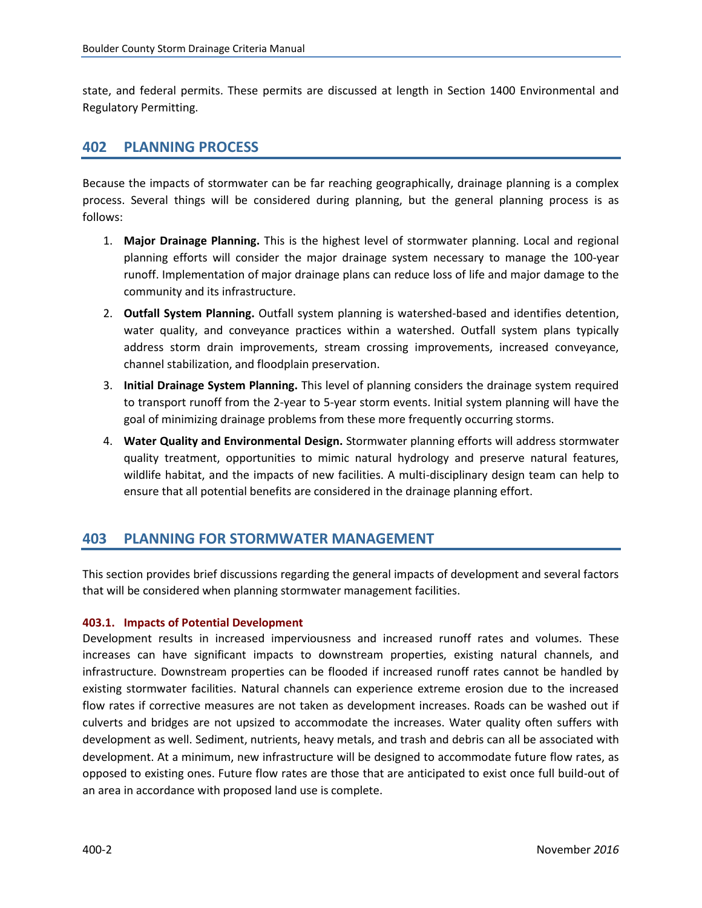<span id="page-3-0"></span>state, and federal permits. These permits are discussed at length in Section 1400 Environmental and Regulatory Permitting.

# **402 PLANNING PROCESS**

Because the impacts of stormwater can be far reaching geographically, drainage planning is a complex process. Several things will be considered during planning, but the general planning process is as follows:

- 1. **Major Drainage Planning.** This is the highest level of stormwater planning. Local and regional planning efforts will consider the major drainage system necessary to manage the 100-year runoff. Implementation of major drainage plans can reduce loss of life and major damage to the community and its infrastructure.
- 2. **Outfall System Planning.** Outfall system planning is watershed-based and identifies detention, water quality, and conveyance practices within a watershed. Outfall system plans typically address storm drain improvements, stream crossing improvements, increased conveyance, channel stabilization, and floodplain preservation.
- 3. **Initial Drainage System Planning.** This level of planning considers the drainage system required to transport runoff from the 2-year to 5-year storm events. Initial system planning will have the goal of minimizing drainage problems from these more frequently occurring storms.
- 4. **Water Quality and Environmental Design.** Stormwater planning efforts will address stormwater quality treatment, opportunities to mimic natural hydrology and preserve natural features, wildlife habitat, and the impacts of new facilities. A multi-disciplinary design team can help to ensure that all potential benefits are considered in the drainage planning effort.

# **403 PLANNING FOR STORMWATER MANAGEMENT**

This section provides brief discussions regarding the general impacts of development and several factors that will be considered when planning stormwater management facilities.

# **403.1. Impacts of Potential Development**

Development results in increased imperviousness and increased runoff rates and volumes. These increases can have significant impacts to downstream properties, existing natural channels, and infrastructure. Downstream properties can be flooded if increased runoff rates cannot be handled by existing stormwater facilities. Natural channels can experience extreme erosion due to the increased flow rates if corrective measures are not taken as development increases. Roads can be washed out if culverts and bridges are not upsized to accommodate the increases. Water quality often suffers with development as well. Sediment, nutrients, heavy metals, and trash and debris can all be associated with development. At a minimum, new infrastructure will be designed to accommodate future flow rates, as opposed to existing ones. Future flow rates are those that are anticipated to exist once full build-out of an area in accordance with proposed land use is complete.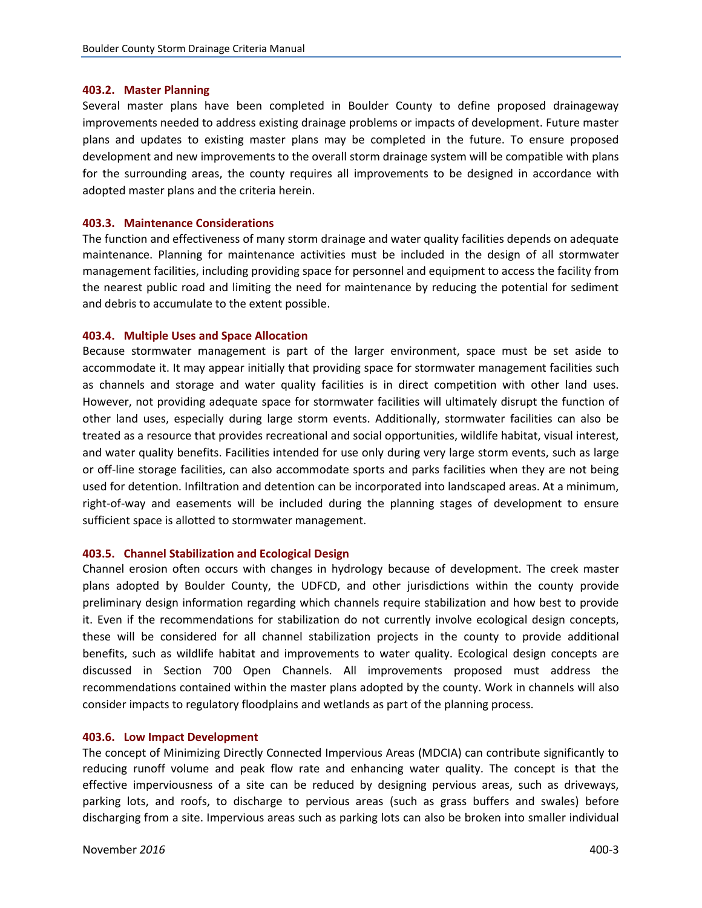# <span id="page-4-0"></span>**403.2. Master Planning**

Several master plans have been completed in Boulder County to define proposed drainageway improvements needed to address existing drainage problems or impacts of development. Future master plans and updates to existing master plans may be completed in the future. To ensure proposed development and new improvements to the overall storm drainage system will be compatible with plans for the surrounding areas, the county requires all improvements to be designed in accordance with adopted master plans and the criteria herein.

# **403.3. Maintenance Considerations**

The function and effectiveness of many storm drainage and water quality facilities depends on adequate maintenance. Planning for maintenance activities must be included in the design of all stormwater management facilities, including providing space for personnel and equipment to access the facility from the nearest public road and limiting the need for maintenance by reducing the potential for sediment and debris to accumulate to the extent possible.

## **403.4. Multiple Uses and Space Allocation**

Because stormwater management is part of the larger environment, space must be set aside to accommodate it. It may appear initially that providing space for stormwater management facilities such as channels and storage and water quality facilities is in direct competition with other land uses. However, not providing adequate space for stormwater facilities will ultimately disrupt the function of other land uses, especially during large storm events. Additionally, stormwater facilities can also be treated as a resource that provides recreational and social opportunities, wildlife habitat, visual interest, and water quality benefits. Facilities intended for use only during very large storm events, such as large or off-line storage facilities, can also accommodate sports and parks facilities when they are not being used for detention. Infiltration and detention can be incorporated into landscaped areas. At a minimum, right-of-way and easements will be included during the planning stages of development to ensure sufficient space is allotted to stormwater management.

#### **403.5. Channel Stabilization and Ecological Design**

Channel erosion often occurs with changes in hydrology because of development. The creek master plans adopted by Boulder County, the UDFCD, and other jurisdictions within the county provide preliminary design information regarding which channels require stabilization and how best to provide it. Even if the recommendations for stabilization do not currently involve ecological design concepts, these will be considered for all channel stabilization projects in the county to provide additional benefits, such as wildlife habitat and improvements to water quality. Ecological design concepts are discussed in Section 700 Open Channels. All improvements proposed must address the recommendations contained within the master plans adopted by the county. Work in channels will also consider impacts to regulatory floodplains and wetlands as part of the planning process.

# **403.6. Low Impact Development**

The concept of Minimizing Directly Connected Impervious Areas (MDCIA) can contribute significantly to reducing runoff volume and peak flow rate and enhancing water quality. The concept is that the effective imperviousness of a site can be reduced by designing pervious areas, such as driveways, parking lots, and roofs, to discharge to pervious areas (such as grass buffers and swales) before discharging from a site. Impervious areas such as parking lots can also be broken into smaller individual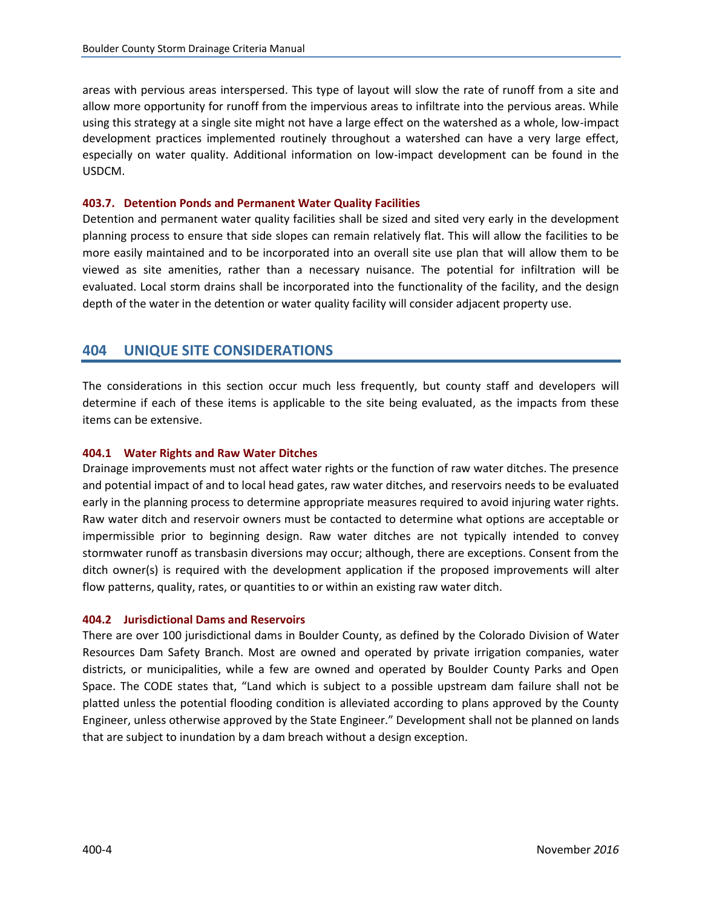<span id="page-5-0"></span>areas with pervious areas interspersed. This type of layout will slow the rate of runoff from a site and allow more opportunity for runoff from the impervious areas to infiltrate into the pervious areas. While using this strategy at a single site might not have a large effect on the watershed as a whole, low-impact development practices implemented routinely throughout a watershed can have a very large effect, especially on water quality. Additional information on low-impact development can be found in the USDCM.

# **403.7. Detention Ponds and Permanent Water Quality Facilities**

Detention and permanent water quality facilities shall be sized and sited very early in the development planning process to ensure that side slopes can remain relatively flat. This will allow the facilities to be more easily maintained and to be incorporated into an overall site use plan that will allow them to be viewed as site amenities, rather than a necessary nuisance. The potential for infiltration will be evaluated. Local storm drains shall be incorporated into the functionality of the facility, and the design depth of the water in the detention or water quality facility will consider adjacent property use.

# **404 UNIQUE SITE CONSIDERATIONS**

The considerations in this section occur much less frequently, but county staff and developers will determine if each of these items is applicable to the site being evaluated, as the impacts from these items can be extensive.

# **404.1 Water Rights and Raw Water Ditches**

Drainage improvements must not affect water rights or the function of raw water ditches. The presence and potential impact of and to local head gates, raw water ditches, and reservoirs needs to be evaluated early in the planning process to determine appropriate measures required to avoid injuring water rights. Raw water ditch and reservoir owners must be contacted to determine what options are acceptable or impermissible prior to beginning design. Raw water ditches are not typically intended to convey stormwater runoff as transbasin diversions may occur; although, there are exceptions. Consent from the ditch owner(s) is required with the development application if the proposed improvements will alter flow patterns, quality, rates, or quantities to or within an existing raw water ditch.

# **404.2 Jurisdictional Dams and Reservoirs**

There are over 100 jurisdictional dams in Boulder County, as defined by the Colorado Division of Water Resources Dam Safety Branch. Most are owned and operated by private irrigation companies, water districts, or municipalities, while a few are owned and operated by Boulder County Parks and Open Space. The CODE states that, "Land which is subject to a possible upstream dam failure shall not be platted unless the potential flooding condition is alleviated according to plans approved by the County Engineer, unless otherwise approved by the State Engineer." Development shall not be planned on lands that are subject to inundation by a dam breach without a design exception.